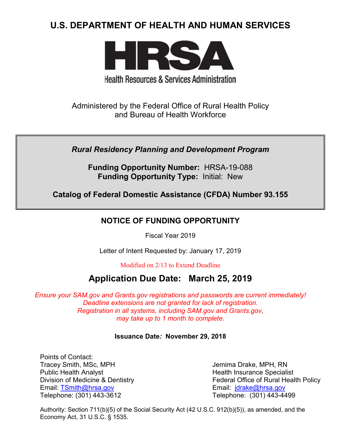# **U.S. DEPARTMENT OF HEALTH AND HUMAN SERVICES**



# **Health Resources & Services Administration**

Administered by the Federal Office of Rural Health Policy and Bureau of Health Workforce

*Rural Residency Planning and Development Program*

**Funding Opportunity Number:** HRSA-19-088 **Funding Opportunity Type:** Initial: New

**Catalog of Federal Domestic Assistance (CFDA) Number 93.155**

## **NOTICE OF FUNDING OPPORTUNITY**

Fiscal Year 2019

Letter of Intent Requested by: January 17, 2019

Modified on 2/13 to Extend Deadline

# **Application Due Date: March 25, 2019**

*Ensure your SAM.gov and Grants.gov registrations and passwords are current immediately! Deadline extensions are not granted for lack of registration. Registration in all systems, including SAM.gov and Grants.gov, may take up to 1 month to complete.*

## **Issuance Date***:* **November 29, 2018**

Points of Contact: Tracey Smith, MSc, MPH Jemima Drake, MPH, RN Public Health Analyst **Health Insurance Specialist** Health Insurance Specialist Email: [TSmith@hrsa.gov](mailto:TSmith@hrsa.gov) Email: [jdrake@hrsa.gov](mailto:jdrake@hrsa.gov) Telephone: (301) 443-3612 Telephone: (301) 443-4499

Division of Medicine & Dentistry **Federal Office of Rural Health Policy** 

Authority: Section 711(b)(5) of the Social Security Act (42 U.S.C. 912(b)(5)), as amended, and the Economy Act, 31 U.S.C. § 1535.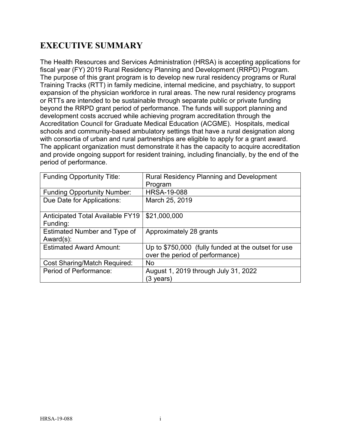# **EXECUTIVE SUMMARY**

The Health Resources and Services Administration (HRSA) is accepting applications for fiscal year (FY) 2019 Rural Residency Planning and Development (RRPD) Program. The purpose of this grant program is to develop new rural residency programs or Rural Training Tracks (RTT) in family medicine, internal medicine, and psychiatry, to support expansion of the physician workforce in rural areas. The new rural residency programs or RTTs are intended to be sustainable through separate public or private funding beyond the RRPD grant period of performance. The funds will support planning and development costs accrued while achieving program accreditation through the Accreditation Council for Graduate Medical Education (ACGME). Hospitals, medical schools and community-based ambulatory settings that have a rural designation along with consortia of urban and rural partnerships are eligible to apply for a grant award. The applicant organization must demonstrate it has the capacity to acquire accreditation and provide ongoing support for resident training, including financially, by the end of the period of performance.

| <b>Funding Opportunity Title:</b>            | <b>Rural Residency Planning and Development</b>                                        |
|----------------------------------------------|----------------------------------------------------------------------------------------|
|                                              | Program                                                                                |
| <b>Funding Opportunity Number:</b>           | <b>HRSA-19-088</b>                                                                     |
| Due Date for Applications:                   | March 25, 2019                                                                         |
| Anticipated Total Available FY19<br>Funding: | \$21,000,000                                                                           |
| Estimated Number and Type of<br>$Award(s)$ : | Approximately 28 grants                                                                |
| <b>Estimated Award Amount:</b>               | Up to \$750,000 (fully funded at the outset for use<br>over the period of performance) |
| <b>Cost Sharing/Match Required:</b>          | <b>No</b>                                                                              |
| Period of Performance:                       | August 1, 2019 through July 31, 2022<br>(3 years)                                      |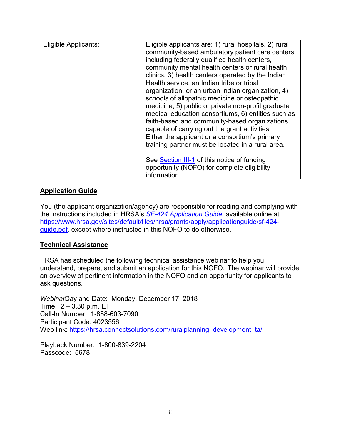| Eligible Applicants: | Eligible applicants are: 1) rural hospitals, 2) rural<br>community-based ambulatory patient care centers<br>including federally qualified health centers,<br>community mental health centers or rural health<br>clinics, 3) health centers operated by the Indian<br>Health service, an Indian tribe or tribal<br>organization, or an urban Indian organization, 4)<br>schools of allopathic medicine or osteopathic<br>medicine, 5) public or private non-profit graduate<br>medical education consortiums, 6) entities such as<br>faith-based and community-based organizations,<br>capable of carrying out the grant activities.<br>Either the applicant or a consortium's primary<br>training partner must be located in a rural area. |
|----------------------|--------------------------------------------------------------------------------------------------------------------------------------------------------------------------------------------------------------------------------------------------------------------------------------------------------------------------------------------------------------------------------------------------------------------------------------------------------------------------------------------------------------------------------------------------------------------------------------------------------------------------------------------------------------------------------------------------------------------------------------------|
|                      | See Section III-1 of this notice of funding<br>opportunity (NOFO) for complete eligibility<br>information.                                                                                                                                                                                                                                                                                                                                                                                                                                                                                                                                                                                                                                 |

## **Application Guide**

You (the applicant organization/agency) are responsible for reading and complying with the instructions included in HRSA's *SF-424 [Application Guide,](http://www.hrsa.gov/grants/apply/applicationguide/sf424guide.pdf)* available online at [https://www.hrsa.gov/sites/default/files/hrsa/grants/apply/applicationguide/sf-424](https://www.hrsa.gov/sites/default/files/hrsa/grants/apply/applicationguide/sf-424-guide.pdf) [guide.pdf,](https://www.hrsa.gov/sites/default/files/hrsa/grants/apply/applicationguide/sf-424-guide.pdf) except where instructed in this NOFO to do otherwise.

## **Technical Assistance**

HRSA has scheduled the following technical assistance webinar to help you understand, prepare, and submit an application for this NOFO. The webinar will provide an overview of pertinent information in the NOFO and an opportunity for applicants to ask questions.

*Webinar*Day and Date: Monday, December 17, 2018 Time: 2 – 3.30 p.m. ET Call-In Number: 1-888-603-7090 Participant Code: 4023556 Web link: [https://hrsa.connectsolutions.com/ruralplanning\\_development\\_ta/](https://hrsa.connectsolutions.com/ruralplanning_development_ta/)

Playback Number: 1-800-839-2204 Passcode: 5678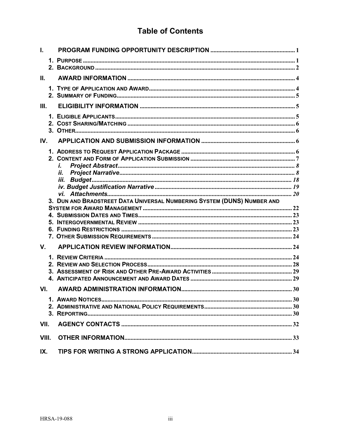## **Table of Contents**

| Ш.    |                                                                         |  |
|-------|-------------------------------------------------------------------------|--|
|       |                                                                         |  |
| III.  |                                                                         |  |
|       |                                                                         |  |
| IV.   |                                                                         |  |
|       | i.                                                                      |  |
|       |                                                                         |  |
|       |                                                                         |  |
|       |                                                                         |  |
|       |                                                                         |  |
|       |                                                                         |  |
|       | 3. DUN AND BRADSTREET DATA UNIVERSAL NUMBERING SYSTEM (DUNS) NUMBER AND |  |
|       |                                                                         |  |
|       |                                                                         |  |
|       |                                                                         |  |
| V.    |                                                                         |  |
|       |                                                                         |  |
|       |                                                                         |  |
|       |                                                                         |  |
|       |                                                                         |  |
| VI.   |                                                                         |  |
|       |                                                                         |  |
|       |                                                                         |  |
|       |                                                                         |  |
| VII.  |                                                                         |  |
| VIII. |                                                                         |  |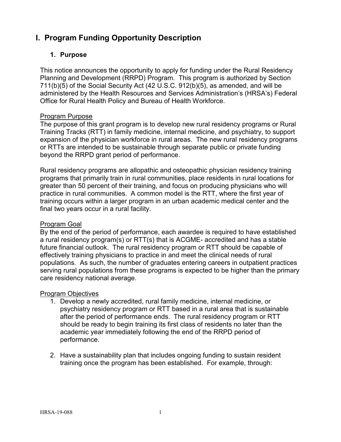## <span id="page-4-0"></span>**I. Program Funding Opportunity Description**

## <span id="page-4-1"></span>**1. Purpose**

This notice announces the opportunity to apply for funding under the Rural Residency Planning and Development (RRPD) Program. This program is authorized by Section 711(b)(5) of the Social Security Act (42 U.S.C. 912(b)(5), as amended, and will be administered by the Health Resources and Services Administration's (HRSA's) Federal Office for Rural Health Policy and Bureau of Health Workforce.

## Program Purpose

The purpose of this grant program is to develop new rural residency programs or Rural Training Tracks (RTT) in family medicine, internal medicine, and psychiatry, to support expansion of the physician workforce in rural areas. The new rural residency programs or RTTs are intended to be sustainable through separate public or private funding beyond the RRPD grant period of performance.

Rural residency programs are allopathic and osteopathic physician residency training programs that primarily train in rural communities, place residents in rural locations for greater than 50 percent of their training, and focus on producing physicians who will practice in rural communities. A common model is the RTT, where the first year of training occurs within a larger program in an urban academic medical center and the final two years occur in a rural facility.

## Program Goal

By the end of the period of performance, each awardee is required to have established a rural residency program(s) or RTT(s) that is ACGME- accredited and has a stable future financial outlook. The rural residency program or RTT should be capable of effectively training physicians to practice in and meet the clinical needs of rural populations. As such, the number of graduates entering careers in outpatient practices serving rural populations from these programs is expected to be higher than the primary care residency national average.

## Program Objectives

- 1. Develop a newly accredited, rural family medicine, internal medicine, or psychiatry residency program or RTT based in a rural area that is sustainable after the period of performance ends. The rural residency program or RTT should be ready to begin training its first class of residents no later than the academic year immediately following the end of the RRPD period of performance.
- 2. Have a sustainability plan that includes ongoing funding to sustain resident training once the program has been established. For example, through: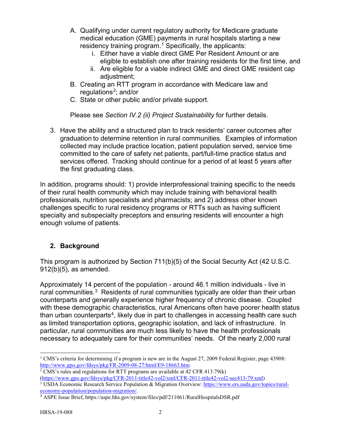- A. Qualifying under current regulatory authority for Medicare graduate medical education (GME) payments in rural hospitals starting a new residency training program.<sup>[1](#page-5-1)</sup> Specifically, the applicants:
	- i. Either have a viable direct GME Per Resident Amount or are eligible to establish one after training residents for the first time, and
	- ii. Are eligible for a viable indirect GME and direct GME resident cap adjustment;
- B. Creating an RTT program in accordance with Medicare law and regulations<sup>2</sup>; and/or
- C. State or other public and/or private support.

Please see *Section IV.2 (ii) Project Sustainability* for further details.

3. Have the ability and a structured plan to track residents' career outcomes after graduation to determine retention in rural communities. Examples of information collected may include practice location, patient population served, service time committed to the care of safety net patients, part/full-time practice status and services offered. Tracking should continue for a period of at least 5 years after the first graduating class.

In addition, programs should: 1) provide interprofessional training specific to the needs of their rural health community which may include training with behavioral health professionals, nutrition specialists and pharmacists; and 2) address other known challenges specific to rural residency programs or RTTs such as having sufficient specialty and subspecialty preceptors and ensuring residents will encounter a high enough volume of patients.

## <span id="page-5-0"></span>**2. Background**

This program is authorized by Section 711(b)(5) of the Social Security Act (42 U.S.C. 912(b)(5), as amended.

Approximately 14 percent of the population - around 46.1 million individuals - live in rural communities.<sup>[3](#page-5-3)</sup> Residents of rural communities typically are older than their urban counterparts and generally experience higher frequency of chronic disease. Coupled with these demographic characteristics, rural Americans often have poorer health status than urban counterparts<sup>[4](#page-5-4)</sup>, likely due in part to challenges in accessing health care such as limited transportation options, geographic isolation, and lack of infrastructure. In particular, rural communities are much less likely to have the health professionals necessary to adequately care for their communities' needs. Of the nearly 2,000 rural

<span id="page-5-1"></span><sup>&</sup>lt;sup>1</sup> CMS's criteria for determining if a program is new are in the August 27, 2009 Federal Register, page 43908: <http://www.gpo.gov/fdsys/pkg/FR-2009-08-27/html/E9-18663.htm>

<span id="page-5-2"></span><sup>&</sup>lt;sup>2</sup> CMS's rules and regulations for RTT programs are available at  $42$  CFR  $413.79(k)$ <br>(https://www.gpo.gov/fdsys/pkg/CFR-2011-title42-vol2/xml/CFR-2011-title42-vol2-sec413-79.xml)

<span id="page-5-3"></span> $\frac{3}{3}$  USDA Economic Research Service Population & Migration Overview: [https://www.ers.usda.gov/topics/rural](https://www.ers.usda.gov/topics/rural-economy-population/population-migration/)[economy-population/population-migration/.](https://www.ers.usda.gov/topics/rural-economy-population/population-migration/)

<span id="page-5-4"></span><sup>4</sup> ASPE Issue Brief, https://aspe.hhs.gov/system/files/pdf/211061/RuralHospitalsDSR.pdf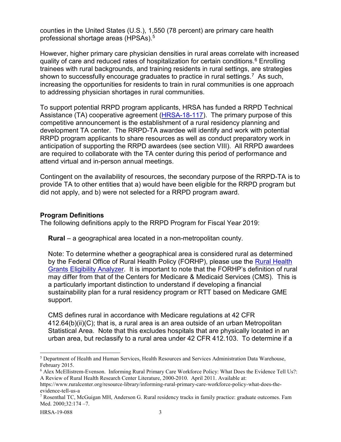counties in the United States (U.S.), 1,550 (78 percent) are primary care health professional shortage areas (HPSAs).[5](#page-6-0)

However, higher primary care physician densities in rural areas correlate with increased quality of care and reduced rates of hospitalization for certain conditions. [6](#page-6-1) Enrolling trainees with rural backgrounds, and training residents in rural settings, are strategies shown to successfully encourage graduates to practice in rural settings.<sup>7</sup> As such, increasing the opportunities for residents to train in rural communities is one approach to addressing physician shortages in rural communities.

To support potential RRPD program applicants, HRSA has funded a RRPD Technical Assistance (TA) cooperative agreement [\(HRSA-18-117\)](https://www.hrsa.gov/grants/fundingopportunities/default.aspx?id=b5e66db2-acca-4871-aa2b-e48fa24380b7). The primary purpose of this competitive announcement is the establishment of a rural residency planning and development TA center. The RRPD-TA awardee will identify and work with potential RRPD program applicants to share resources as well as conduct preparatory work in anticipation of supporting the RRPD awardees (see section VIII). All RRPD awardees are required to collaborate with the TA center during this period of performance and attend virtual and in-person annual meetings.

Contingent on the availability of resources, the secondary purpose of the RRPD-TA is to provide TA to other entities that a) would have been eligible for the RRPD program but did not apply, and b) were not selected for a RRPD program award.

#### **Program Definitions**

The following definitions apply to the RRPD Program for Fiscal Year 2019:

**Rural** – a geographical area located in a non-metropolitan county.

Note: To determine whether a geographical area is considered rural as determined by the Federal Office of Rural Health Policy (FORHP), please use the [Rural Health](https://datawarehouse.hrsa.gov/tools/analyzers/geo/Rural.aspx)  [Grants Eligibility Analyzer.](https://datawarehouse.hrsa.gov/tools/analyzers/geo/Rural.aspx) It is important to note that the FORHP's definition of rural may differ from that of the Centers for Medicare & Medicaid Services (CMS). This is a particularly important distinction to understand if developing a financial sustainability plan for a rural residency program or RTT based on Medicare GME support.

CMS defines rural in accordance with Medicare regulations at 42 CFR 412.64(b)(ii)(C); that is, a rural area is an area outside of an urban Metropolitan Statistical Area. Note that this excludes hospitals that are physically located in an urban area, but reclassify to a rural area under 42 CFR 412.103. To determine if a

<span id="page-6-0"></span> <sup>5</sup> Department of Health and Human Services, Health Resources and Services Administration Data Warehouse, February 2015.

<span id="page-6-1"></span><sup>6</sup> Alex McEllistrem-Evenson. Informing Rural Primary Care Workforce Policy: What Does the Evidence Tell Us?: A Review of Rural Health Research Center Literature, 2000-2010. April 2011. Available at:

https://www.ruralcenter.org/resource-library/informing-rural-primary-care-workforce-policy-what-does-theevidence-tell-us-a

<span id="page-6-2"></span><sup>7</sup> Rosenthal TC, McGuigan MH, Anderson G. Rural residency tracks in family practice: graduate outcomes. Fam Med. 2000;32:174 –7.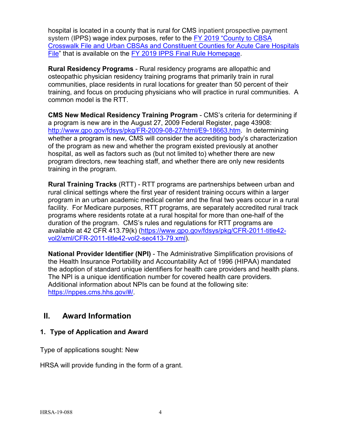hospital is located in a county that is rural for CMS inpatient prospective payment system (IPPS) wage index purposes, refer to the FY 2019 ["County to CBSA](https://www.cms.gov/Medicare/Medicare-Fee-for-Service-Payment/AcuteInpatientPPS/FY2018-IPPS-Final-Rule-Home-Page-Items/FY2018-IPPS-Final-Rule-Data-Files.html?DLPage=1&DLEntries=10&DLSort=0&DLSortDir=ascending)  [Crosswalk File and Urban CBSAs and Constituent Counties for Acute Care Hospitals](https://www.cms.gov/Medicare/Medicare-Fee-for-Service-Payment/AcuteInpatientPPS/FY2018-IPPS-Final-Rule-Home-Page-Items/FY2018-IPPS-Final-Rule-Data-Files.html?DLPage=1&DLEntries=10&DLSort=0&DLSortDir=ascending)  [File"](https://www.cms.gov/Medicare/Medicare-Fee-for-Service-Payment/AcuteInpatientPPS/FY2018-IPPS-Final-Rule-Home-Page-Items/FY2018-IPPS-Final-Rule-Data-Files.html?DLPage=1&DLEntries=10&DLSort=0&DLSortDir=ascending) that is available on the [FY 2019 IPPS Final Rule Homepage.](https://www.cms.gov/Medicare/Medicare-Fee-for-Service-Payment/AcuteInpatientPPS/index.html)

**Rural Residency Programs** - Rural residency programs are allopathic and osteopathic physician residency training programs that primarily train in rural communities, place residents in rural locations for greater than 50 percent of their training, and focus on producing physicians who will practice in rural communities. A common model is the RTT.

**CMS New Medical Residency Training Program** - CMS's criteria for determining if a program is new are in the August 27, 2009 Federal Register, page 43908: [http://www.gpo.gov/fdsys/pkg/FR-2009-08-27/html/E9-18663.htm.](http://www.gpo.gov/fdsys/pkg/FR-2009-08-27/html/E9-18663.htm) In determining whether a program is new, CMS will consider the accrediting body's characterization of the program as new and whether the program existed previously at another hospital, as well as factors such as (but not limited to) whether there are new program directors, new teaching staff, and whether there are only new residents training in the program.

**Rural Training Tracks** (RTT) - RTT programs are partnerships between urban and rural clinical settings where the first year of resident training occurs within a larger program in an urban academic medical center and the final two years occur in a rural facility. For Medicare purposes, RTT programs, are separately accredited rural track programs where residents rotate at a rural hospital for more than one-half of the duration of the program. CMS's rules and regulations for RTT programs are available at 42 CFR 413.79(k) [\(https://www.gpo.gov/fdsys/pkg/CFR-2011-title42](https://www.gpo.gov/fdsys/pkg/CFR-2011-title42-vol2/xml/CFR-2011-title42-vol2-sec413-79.xml) [vol2/xml/CFR-2011-title42-vol2-sec413-79.xml\)](https://www.gpo.gov/fdsys/pkg/CFR-2011-title42-vol2/xml/CFR-2011-title42-vol2-sec413-79.xml).

**National Provider Identifier (NPI)** - The Administrative Simplification provisions of the Health Insurance Portability and Accountability Act of 1996 (HIPAA) mandated the adoption of standard unique identifiers for health care providers and health plans. The NPI is a unique identification number for covered health care providers. Additional information about NPIs can be found at the following site: [https://nppes.cms.hhs.gov/#/.](https://nppes.cms.hhs.gov/#/)

## <span id="page-7-0"></span>**II. Award Information**

## <span id="page-7-1"></span>**1. Type of Application and Award**

Type of applications sought: New

HRSA will provide funding in the form of a grant.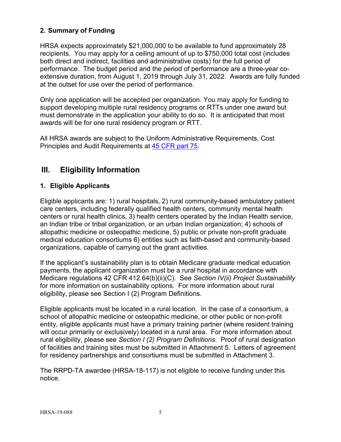## <span id="page-8-1"></span>**2. Summary of Funding**

HRSA expects approximately \$21,000,000 to be available to fund approximately 28 recipients. You may apply for a ceiling amount of up to \$750,000 total cost (includes both direct and indirect, facilities and administrative costs) for the full period of performance. The budget period and the period of performance are a three-year coextensive duration, from August 1, 2019 through July 31, 2022. Awards are fully funded at the outset for use over the period of performance.

Only one application will be accepted per organization. You may apply for funding to support developing multiple rural residency programs or RTTs under one award but must demonstrate in the application your ability to do so. It is anticipated that most awards will be for one rural residency program or RTT.

All HRSA awards are subject to the Uniform Administrative Requirements, Cost Principles and Audit Requirements at [45 CFR part 75.](http://www.ecfr.gov/cgi-bin/retrieveECFR?gp=1&SID=4d52364ec83fab994c665943dadf9cf7&ty=HTML&h=L&r=PART&n=pt45.1.75)

## <span id="page-8-2"></span>**III. Eligibility Information**

## <span id="page-8-0"></span>**1. Eligible Applicants**

Eligible applicants are: 1) rural hospitals, 2) rural community-based ambulatory patient care centers, including federally qualified health centers, community mental health centers or rural health clinics, 3) health centers operated by the Indian Health service, an Indian tribe or tribal organization, or an urban Indian organization; 4) schools of allopathic medicine or osteopathic medicine, 5) public or private non-profit graduate medical education consortiums 6) entities such as faith-based and community-based organizations, capable of carrying out the grant activities.

If the applicant's sustainability plan is to obtain Medicare graduate medical education payments, the applicant organization must be a rural hospital in accordance with Medicare regulations 42 CFR 412.64(b)(ii)(C). See *Section IV(ii) Project Sustainability*  for more information on sustainability options. For more information about rural eligibility, please see Section I (2) Program Definitions.

Eligible applicants must be located in a rural location. In the case of a consortium, a school of allopathic medicine or osteopathic medicine, or other public or non-profit entity, eligible applicants must have a primary training partner (where resident training will occur primarily or exclusively) located in a rural area. For more information about rural eligibility, please see *Section I (2) Program Definitions*. Proof of rural designation of facilities and training sites must be submitted in Attachment 5. Letters of agreement for residency partnerships and consortiums must be submitted in Attachment 3.

The RRPD-TA awardee (HRSA-18-117) is not eligible to receive funding under this notice.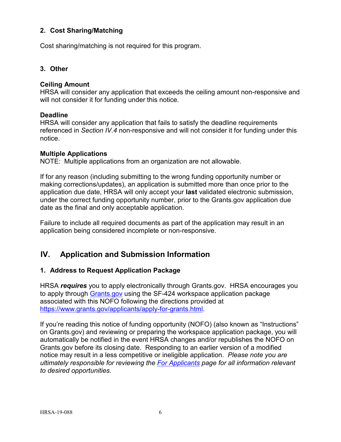## <span id="page-9-0"></span>**2. Cost Sharing/Matching**

Cost sharing/matching is not required for this program.

## <span id="page-9-1"></span>**3. Other**

#### **Ceiling Amount**

HRSA will consider any application that exceeds the ceiling amount non-responsive and will not consider it for funding under this notice.

#### **Deadline**

HRSA will consider any application that fails to satisfy the deadline requirements referenced in *Section IV.4* non-responsive and will not consider it for funding under this notice.

#### **Multiple Applications**

NOTE: Multiple applications from an organization are not allowable.

If for any reason (including submitting to the wrong funding opportunity number or making corrections/updates), an application is submitted more than once prior to the application due date, HRSA will only accept your **last** validated electronic submission, under the correct funding opportunity number, prior to the Grants.gov application due date as the final and only acceptable application.

Failure to include all required documents as part of the application may result in an application being considered incomplete or non-responsive.

## <span id="page-9-2"></span>**IV. Application and Submission Information**

## <span id="page-9-3"></span>**1. Address to Request Application Package**

HRSA *requires* you to apply electronically through Grants.gov. HRSA encourages you to apply through [Grants.gov](https://www.grants.gov/) using the SF-424 workspace application package associated with this NOFO following the directions provided at [https://www.grants.gov/applicants/apply-for-grants.html.](https://www.grants.gov/applicants/apply-for-grants.html)

If you're reading this notice of funding opportunity (NOFO) (also known as "Instructions" on Grants.gov) and reviewing or preparing the workspace application package, you will automatically be notified in the event HRSA changes and/or republishes the NOFO on Grants.gov before its closing date. Responding to an earlier version of a modified notice may result in a less competitive or ineligible application. *Please note you are ultimately responsible for reviewing the [For Applicants](https://www.grants.gov/web/grants/applicants.html) page for all information relevant to desired opportunities.*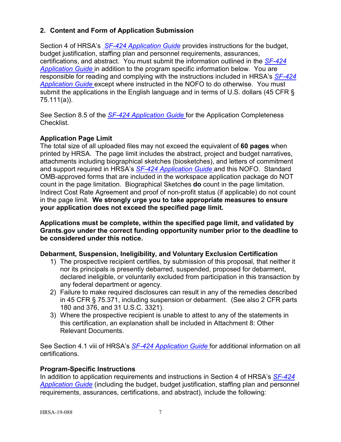## <span id="page-10-0"></span>**2. Content and Form of Application Submission**

Section 4 of HRSA's *SF-424 [Application Guide](http://www.hrsa.gov/grants/apply/applicationguide/sf424guide.pdf)* provides instructions for the budget, budget justification, staffing plan and personnel requirements, assurances, certifications, and abstract. You must submit the information outlined in the *[SF-424](http://www.hrsa.gov/grants/apply/applicationguide/sf424guide.pdf) [Application Guide](http://www.hrsa.gov/grants/apply/applicationguide/sf424guide.pdf)* in addition to the program specific information below. You are responsible for reading and complying with the instructions included in HRSA's *[SF-424](http://www.hrsa.gov/grants/apply/applicationguide/sf424guide.pdf) [Application Guide](http://www.hrsa.gov/grants/apply/applicationguide/sf424guide.pdf)* except where instructed in the NOFO to do otherwise. You must submit the applications in the English language and in terms of U.S. dollars (45 CFR § 75.111(a)).

See Section 8.5 of the *SF-424 [Application Guide](http://www.hrsa.gov/grants/apply/applicationguide/sf424guide.pdf)* for the Application Completeness Checklist.

## **Application Page Limit**

The total size of all uploaded files may not exceed the equivalent of **60 pages** when printed by HRSA. The page limit includes the abstract, project and budget narratives, attachments including biographical sketches (biosketches), and letters of commitment and support required in HRSA's *SF-424 [Application Guide](http://www.hrsa.gov/grants/apply/applicationguide/sf424guide.pdf)* and this NOFO. Standard OMB-approved forms that are included in the workspace application package do NOT count in the page limitation. Biographical Sketches **do** count in the page limitation. Indirect Cost Rate Agreement and proof of non-profit status (if applicable) do not count in the page limit. **We strongly urge you to take appropriate measures to ensure your application does not exceed the specified page limit.**

**Applications must be complete, within the specified page limit, and validated by Grants.gov under the correct funding opportunity number prior to the deadline to be considered under this notice.**

## **Debarment, Suspension, Ineligibility, and Voluntary Exclusion Certification**

- 1) The prospective recipient certifies, by submission of this proposal, that neither it nor its principals is presently debarred, suspended, proposed for debarment, declared ineligible, or voluntarily excluded from participation in this transaction by any federal department or agency.
- 2) Failure to make required disclosures can result in any of the remedies described in 45 CFR § 75.371, including suspension or debarment. (See also 2 CFR parts 180 and 376, and 31 U.S.C. 3321).
- 3) Where the prospective recipient is unable to attest to any of the statements in this certification, an explanation shall be included in Attachment 8: Other Relevant Documents.

See Section 4.1 viii of HRSA's *SF-424 [Application Guide](http://www.hrsa.gov/grants/apply/applicationguide/sf424guide.pdf)* for additional information on all certifications.

## **Program-Specific Instructions**

In addition to application requirements and instructions in Section 4 of HRSA's *[SF-424](http://www.hrsa.gov/grants/apply/applicationguide/sf424guide.pdf) [Application Guide](http://www.hrsa.gov/grants/apply/applicationguide/sf424guide.pdf)* (including the budget, budget justification, staffing plan and personnel requirements, assurances, certifications, and abstract), include the following: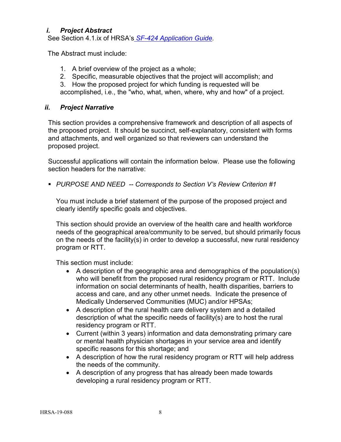## <span id="page-11-0"></span>*i. Project Abstract*

See Section 4.1.ix of HRSA's *SF-424 [Application Guide.](http://www.hrsa.gov/grants/apply/applicationguide/sf424guide.pdf)*

The Abstract must include:

- 1. A brief overview of the project as a whole;
- 2. Specific, measurable objectives that the project will accomplish; and
- 3. How the proposed project for which funding is requested will be

accomplished, i.e., the "who, what, when, where, why and how" of a project.

## <span id="page-11-1"></span>*ii. Project Narrative*

This section provides a comprehensive framework and description of all aspects of the proposed project. It should be succinct, self-explanatory, consistent with forms and attachments, and well organized so that reviewers can understand the proposed project.

Successful applications will contain the information below. Please use the following section headers for the narrative:

*PURPOSE AND NEED -- Corresponds to Section V's Review Criterion #1*

You must include a brief statement of the purpose of the proposed project and clearly identify specific goals and objectives.

This section should provide an overview of the health care and health workforce needs of the geographical area/community to be served, but should primarily focus on the needs of the facility(s) in order to develop a successful, new rural residency program or RTT.

This section must include:

- A description of the geographic area and demographics of the population(s) who will benefit from the proposed rural residency program or RTT. Include information on social determinants of health, health disparities, barriers to access and care, and any other unmet needs. Indicate the presence of Medically Underserved Communities (MUC) and/or HPSAs;
- A description of the rural health care delivery system and a detailed description of what the specific needs of facility(s) are to host the rural residency program or RTT.
- Current (within 3 years) information and data demonstrating primary care or mental health physician shortages in your service area and identify specific reasons for this shortage; and
- A description of how the rural residency program or RTT will help address the needs of the community.
- A description of any progress that has already been made towards developing a rural residency program or RTT.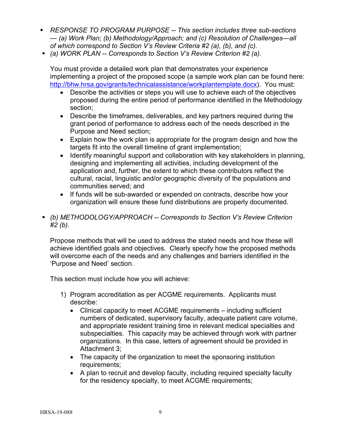- *RESPONSE TO PROGRAM PURPOSE -- This section includes three sub-sections — (a) Work Plan; (b) Methodology/Approach; and (c) Resolution of Challenges—all of which correspond to Section V's Review Criteria #2 (a), (b), and (c).*
- *(a) WORK PLAN -- Corresponds to Section V's Review Criterion #2 (a).*

You must provide a detailed work plan that demonstrates your experience implementing a project of the proposed scope (a sample work plan can be found here: [http://bhw.hrsa.gov/grants/technicalassistance/workplantemplate.docx\)](http://bhw.hrsa.gov/grants/technicalassistance/workplantemplate.docx). You must:

- Describe the activities or steps you will use to achieve each of the objectives proposed during the entire period of performance identified in the Methodology section;
- Describe the timeframes, deliverables, and key partners required during the grant period of performance to address each of the needs described in the Purpose and Need section;
- Explain how the work plan is appropriate for the program design and how the targets fit into the overall timeline of grant implementation;
- Identify meaningful support and collaboration with key stakeholders in planning, designing and implementing all activities, including development of the application and, further, the extent to which these contributors reflect the cultural, racial, linguistic and/or geographic diversity of the populations and communities served; and
- If funds will be sub-awarded or expended on contracts, describe how your organization will ensure these fund distributions are properly documented.
- *(b) METHODOLOGY/APPROACH -- Corresponds to Section V's Review Criterion #2 (b).*

Propose methods that will be used to address the stated needs and how these will achieve identified goals and objectives. Clearly specify how the proposed methods will overcome each of the needs and any challenges and barriers identified in the 'Purpose and Need' section.

This section must include how you will achieve:

- 1) Program accreditation as per ACGME requirements. Applicants must describe:
	- Clinical capacity to meet ACGME requirements including sufficient numbers of dedicated, supervisory faculty, adequate patient care volume, and appropriate resident training time in relevant medical specialties and subspecialties. This capacity may be achieved through work with partner organizations. In this case, letters of agreement should be provided in Attachment 3;
	- The capacity of the organization to meet the sponsoring institution requirements;
	- A plan to recruit and develop faculty, including required specialty faculty for the residency specialty, to meet ACGME requirements;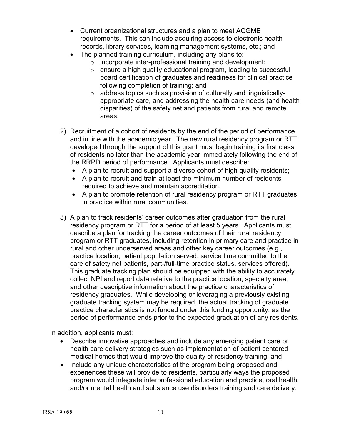- Current organizational structures and a plan to meet ACGME requirements. This can include acquiring access to electronic health records, library services, learning management systems, etc.; and
- The planned training curriculum, including any plans to:
	- o incorporate inter-professional training and development;
	- o ensure a high quality educational program, leading to successful board certification of graduates and readiness for clinical practice following completion of training; and
	- o address topics such as provision of culturally and linguisticallyappropriate care, and addressing the health care needs (and health disparities) of the safety net and patients from rural and remote areas.
- 2) Recruitment of a cohort of residents by the end of the period of performance and in line with the academic year. The new rural residency program or RTT developed through the support of this grant must begin training its first class of residents no later than the academic year immediately following the end of the RRPD period of performance. Applicants must describe:
	- A plan to recruit and support a diverse cohort of high quality residents;
	- A plan to recruit and train at least the minimum number of residents required to achieve and maintain accreditation.
	- A plan to promote retention of rural residency program or RTT graduates in practice within rural communities.
- 3) A plan to track residents' career outcomes after graduation from the rural residency program or RTT for a period of at least 5 years. Applicants must describe a plan for tracking the career outcomes of their rural residency program or RTT graduates, including retention in primary care and practice in rural and other underserved areas and other key career outcomes (e.g., practice location, patient population served, service time committed to the care of safety net patients, part-/full-time practice status, services offered). This graduate tracking plan should be equipped with the ability to accurately collect NPI and report data relative to the practice location, specialty area, and other descriptive information about the practice characteristics of residency graduates. While developing or leveraging a previously existing graduate tracking system may be required, the actual tracking of graduate practice characteristics is not funded under this funding opportunity, as the period of performance ends prior to the expected graduation of any residents.

In addition, applicants must:

- Describe innovative approaches and include any emerging patient care or health care delivery strategies such as implementation of patient centered medical homes that would improve the quality of residency training; and
- Include any unique characteristics of the program being proposed and experiences these will provide to residents, particularly ways the proposed program would integrate interprofessional education and practice, oral health, and/or mental health and substance use disorders training and care delivery.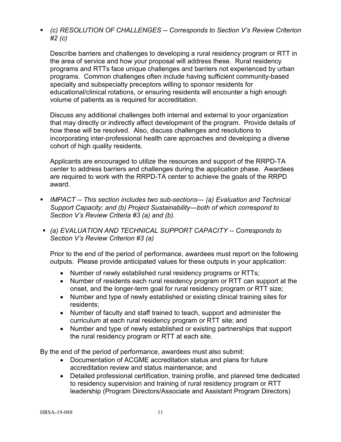*(c) RESOLUTION OF CHALLENGES -- Corresponds to Section V's Review Criterion #2 (c)* 

Describe barriers and challenges to developing a rural residency program or RTT in the area of service and how your proposal will address these. Rural residency programs and RTTs face unique challenges and barriers not experienced by urban programs. Common challenges often include having sufficient community-based specialty and subspecialty preceptors willing to sponsor residents for educational/clinical rotations, or ensuring residents will encounter a high enough volume of patients as is required for accreditation.

Discuss any additional challenges both internal and external to your organization that may directly or indirectly affect development of the program. Provide details of how these will be resolved. Also, discuss challenges and resolutions to incorporating inter-professional health care approaches and developing a diverse cohort of high quality residents.

Applicants are encouraged to utilize the resources and support of the RRPD-TA center to address barriers and challenges during the application phase. Awardees are required to work with the RRPD-TA center to achieve the goals of the RRPD award.

- *IMPACT -- This section includes two sub-sections— (a) Evaluation and Technical Support Capacity; and (b) Project Sustainability—both of which correspond to Section V's Review Criteria #3 (a) and (b).*
- *(a) EVALUATION AND TECHNICAL SUPPORT CAPACITY -- Corresponds to Section V's Review Criterion #3 (a)*

Prior to the end of the period of performance, awardees must report on the following outputs. Please provide anticipated values for these outputs in your application:

- Number of newly established rural residency programs or RTTs;
- Number of residents each rural residency program or RTT can support at the onset, and the longer-term goal for rural residency program or RTT size;
- Number and type of newly established or existing clinical training sites for residents;
- Number of faculty and staff trained to teach, support and administer the curriculum at each rural residency program or RTT site; and
- Number and type of newly established or existing partnerships that support the rural residency program or RTT at each site.

By the end of the period of performance, awardees must also submit:

- Documentation of ACGME accreditation status and plans for future accreditation review and status maintenance; and
- Detailed professional certification, training profile, and planned time dedicated to residency supervision and training of rural residency program or RTT leadership (Program Directors/Associate and Assistant Program Directors)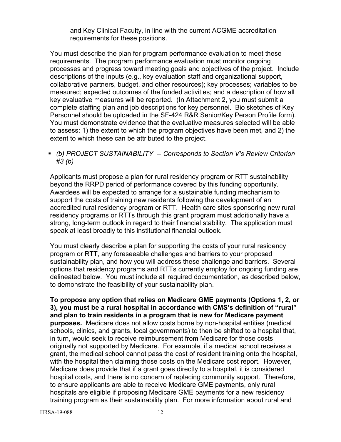and Key Clinical Faculty, in line with the current ACGME accreditation requirements for these positions.

You must describe the plan for program performance evaluation to meet these requirements. The program performance evaluation must monitor ongoing processes and progress toward meeting goals and objectives of the project. Include descriptions of the inputs (e.g., key evaluation staff and organizational support, collaborative partners, budget, and other resources); key processes; variables to be measured; expected outcomes of the funded activities; and a description of how all key evaluative measures will be reported. (In Attachment 2, you must submit a complete staffing plan and job descriptions for key personnel. Bio sketches of Key Personnel should be uploaded in the SF-424 R&R Senior/Key Person Profile form). You must demonstrate evidence that the evaluative measures selected will be able to assess: 1) the extent to which the program objectives have been met, and 2) the extent to which these can be attributed to the project.

 *(b) PROJECT SUSTAINABILITY -- Corresponds to Section V's Review Criterion #3 (b)*

Applicants must propose a plan for rural residency program or RTT sustainability beyond the RRPD period of performance covered by this funding opportunity. Awardees will be expected to arrange for a sustainable funding mechanism to support the costs of training new residents following the development of an accredited rural residency program or RTT. Health care sites sponsoring new rural residency programs or RTTs through this grant program must additionally have a strong, long-term outlook in regard to their financial stability. The application must speak at least broadly to this institutional financial outlook.

You must clearly describe a plan for supporting the costs of your rural residency program or RTT, any foreseeable challenges and barriers to your proposed sustainability plan, and how you will address these challenge and barriers. Several options that residency programs and RTTs currently employ for ongoing funding are delineated below. You must include all required documentation, as described below, to demonstrate the feasibility of your sustainability plan.

**To propose any option that relies on Medicare GME payments (Options 1, 2, or 3), you must be a rural hospital in accordance with CMS's definition of "rural" and plan to train residents in a program that is new for Medicare payment purposes.** Medicare does not allow costs borne by non-hospital entities (medical schools, clinics, and grants, local governments) to then be shifted to a hospital that, in turn, would seek to receive reimbursement from Medicare for those costs originally not supported by Medicare. For example, if a medical school receives a grant, the medical school cannot pass the cost of resident training onto the hospital, with the hospital then claiming those costs on the Medicare cost report. However, Medicare does provide that if a grant goes directly to a hospital, it is considered hospital costs, and there is no concern of replacing community support. Therefore, to ensure applicants are able to receive Medicare GME payments, only rural hospitals are eligible if proposing Medicare GME payments for a new residency training program as their sustainability plan. For more information about rural and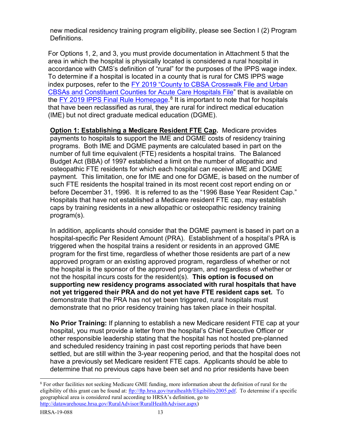new medical residency training program eligibility, please see Section I (2) Program Definitions.

For Options 1, 2, and 3, you must provide documentation in Attachment 5 that the area in which the hospital is physically located is considered a rural hospital in accordance with CMS's definition of "rural" for the purposes of the IPPS wage index. To determine if a hospital is located in a county that is rural for CMS IPPS wage index purposes, refer to the FY 2019 ["County to CBSA Crosswalk File and Urban](https://www.cms.gov/Medicare/Medicare-Fee-for-Service-Payment/AcuteInpatientPPS/FY2018-IPPS-Final-Rule-Home-Page-Items/FY2018-IPPS-Final-Rule-Data-Files.html?DLPage=1&DLEntries=10&DLSort=0&DLSortDir=ascending)  [CBSAs and Constituent Counties for Acute Care Hospitals File"](https://www.cms.gov/Medicare/Medicare-Fee-for-Service-Payment/AcuteInpatientPPS/FY2018-IPPS-Final-Rule-Home-Page-Items/FY2018-IPPS-Final-Rule-Data-Files.html?DLPage=1&DLEntries=10&DLSort=0&DLSortDir=ascending) that is available on the <u>FY 2019 IPPS Final Rule Homepage</u>.<sup>[8](#page-16-0)</sup> It is important to note that for hospitals that have been reclassified as rural, they are rural for indirect medical education (IME) but not direct graduate medical education (DGME).

**Option 1: Establishing a Medicare Resident FTE Cap.** Medicare provides payments to hospitals to support the IME and DGME costs of residency training programs. Both IME and DGME payments are calculated based in part on the number of full time equivalent (FTE) residents a hospital trains. The Balanced Budget Act (BBA) of 1997 established a limit on the number of allopathic and osteopathic FTE residents for which each hospital can receive IME and DGME payment. This limitation, one for IME and one for DGME, is based on the number of such FTE residents the hospital trained in its most recent cost report ending on or before December 31, 1996. It is referred to as the "1996 Base Year Resident Cap." Hospitals that have not established a Medicare resident FTE cap, may establish caps by training residents in a new allopathic or osteopathic residency training program(s).

In addition, applicants should consider that the DGME payment is based in part on a hospital-specific Per Resident Amount (PRA). Establishment of a hospital's PRA is triggered when the hospital trains a resident or residents in an approved GME program for the first time, regardless of whether those residents are part of a new approved program or an existing approved program, regardless of whether or not the hospital is the sponsor of the approved program, and regardless of whether or not the hospital incurs costs for the resident(s). **This option is focused on supporting new residency programs associated with rural hospitals that have not yet triggered their PRA and do not yet have FTE resident caps set.** To demonstrate that the PRA has not yet been triggered, rural hospitals must demonstrate that no prior residency training has taken place in their hospital.

**No Prior Training:** If planning to establish a new Medicare resident FTE cap at your hospital, you must provide a letter from the hospital's Chief Executive Officer or other responsible leadership stating that the hospital has not hosted pre-planned and scheduled residency training in past cost reporting periods that have been settled, but are still within the 3-year reopening period, and that the hospital does not have a previously set Medicare resident FTE caps. Applicants should be able to determine that no previous caps have been set and no prior residents have been

<span id="page-16-0"></span><sup>&</sup>lt;sup>8</sup> For other facilities not seeking Medicare GME funding, more information about the definition of rural for the eligibility of this grant can be found at: [ftp://ftp.hrsa.gov/ruralhealth/Eligibility2005.pdf.](ftp://ftp.hrsa.gov/ruralhealth/Eligibility2005.pdf) To determine if a specific geographical area is considered rural according to HRSA's definition, go to [http://datawarehouse.hrsa.gov/RuralAdvisor/RuralHealthAdvisor.aspx\)](http://datawarehouse.hrsa.gov/RuralAdvisor/RuralHealthAdvisor.aspx)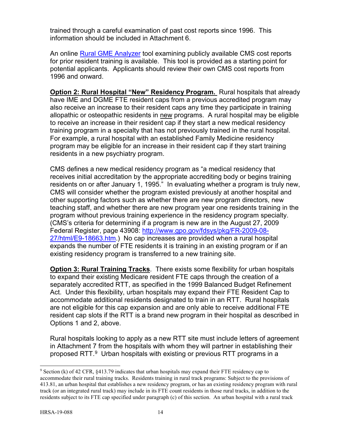trained through a careful examination of past cost reports since 1996. This information should be included in Attachment 6.

An online [Rural GME Analyzer](https://datawarehouse.hrsa.gov/tools/hdwreports/Filters.aspx?id=462) tool examining publicly available CMS cost reports for prior resident training is available. This tool is provided as a starting point for potential applicants. Applicants should review their own CMS cost reports from 1996 and onward.

**Option 2: Rural Hospital "New" Residency Program.** Rural hospitals that already have IME and DGME FTE resident caps from a previous accredited program may also receive an increase to their resident caps any time they participate in training allopathic or osteopathic residents in new programs. A rural hospital may be eligible to receive an increase in their resident cap if they start a new medical residency training program in a specialty that has not previously trained in the rural hospital. For example, a rural hospital with an established Family Medicine residency program may be eligible for an increase in their resident cap if they start training residents in a new psychiatry program.

CMS defines a new medical residency program as "a medical residency that receives initial accreditation by the appropriate accrediting body or begins training residents on or after January 1, 1995." In evaluating whether a program is truly new, CMS will consider whether the program existed previously at another hospital and other supporting factors such as whether there are new program directors, new teaching staff, and whether there are new program year one residents training in the program without previous training experience in the residency program specialty. (CMS's criteria for determining if a program is new are in the August 27, 2009 Federal Register, page 43908: [http://www.gpo.gov/fdsys/pkg/FR-2009-08-](http://www.gpo.gov/fdsys/pkg/FR-2009-08-27/html/E9-18663.htm) [27/html/E9-18663.htm.](http://www.gpo.gov/fdsys/pkg/FR-2009-08-27/html/E9-18663.htm)) No cap increases are provided when a rural hospital expands the number of FTE residents it is training in an existing program or if an existing residency program is transferred to a new training site.

**Option 3: Rural Training Tracks**. There exists some flexibility for urban hospitals to expand their existing Medicare resident FTE caps through the creation of a separately accredited RTT, as specified in the 1999 Balanced Budget Refinement Act. Under this flexibility, urban hospitals may expand their FTE Resident Cap to accommodate additional residents designated to train in an RTT. Rural hospitals are not eligible for this cap expansion and are only able to receive additional FTE resident cap slots if the RTT is a brand new program in their hospital as described in Options 1 and 2, above.

Rural hospitals looking to apply as a new RTT site must include letters of agreement in Attachment 7 from the hospitals with whom they will partner in establishing their proposed RTT.[9](#page-17-0) Urban hospitals with existing or previous RTT programs in a

<span id="page-17-0"></span> <sup>9</sup> Section (k) of 42 CFR, §413.79 indicates that urban hospitals may expand their FTE residency cap to accommodate their rural training tracks. Residents training in rural track programs: Subject to the provisions of 413.81, an urban hospital that establishes a new residency program, or has an existing residency program with rural track (or an integrated rural track) may include in its FTE count residents in those rural tracks, in addition to the residents subject to its FTE cap specified under paragraph (c) of this section. An urban hospital with a rural track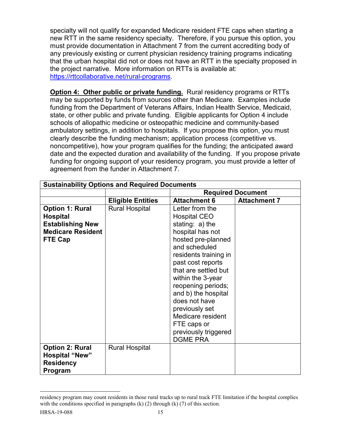specialty will not qualify for expanded Medicare resident FTE caps when starting a new RTT in the same residency specialty. Therefore, if you pursue this option, you must provide documentation in Attachment 7 from the current accrediting body of any previously existing or current physician residency training programs indicating that the urban hospital did not or does not have an RTT in the specialty proposed in the project narrative. More information on RTTs is available at: [https://rttcollaborative.net/rural-programs.](https://rttcollaborative.net/rural-programs)

**Option 4: Other public or private funding.** Rural residency programs or RTTs may be supported by funds from sources other than Medicare. Examples include funding from the Department of Veterans Affairs, Indian Health Service, Medicaid, state, or other public and private funding. Eligible applicants for Option 4 include schools of allopathic medicine or osteopathic medicine and community-based ambulatory settings, in addition to hospitals. If you propose this option, you must clearly describe the funding mechanism; application process (competitive vs. noncompetitive), how your program qualifies for the funding; the anticipated award date and the expected duration and availability of the funding. If you propose private funding for ongoing support of your residency program, you must provide a letter of agreement from the funder in Attachment 7.

| <b>Sustainability Options and Required Documents</b>                                                               |                          |                                                                                                                                                                                                                                                                                                                                                                                  |                          |
|--------------------------------------------------------------------------------------------------------------------|--------------------------|----------------------------------------------------------------------------------------------------------------------------------------------------------------------------------------------------------------------------------------------------------------------------------------------------------------------------------------------------------------------------------|--------------------------|
|                                                                                                                    |                          |                                                                                                                                                                                                                                                                                                                                                                                  | <b>Required Document</b> |
|                                                                                                                    | <b>Eligible Entities</b> | <b>Attachment 6</b>                                                                                                                                                                                                                                                                                                                                                              | <b>Attachment 7</b>      |
| <b>Option 1: Rural</b><br><b>Hospital</b><br><b>Establishing New</b><br><b>Medicare Resident</b><br><b>FTE Cap</b> | <b>Rural Hospital</b>    | Letter from the<br><b>Hospital CEO</b><br>stating: $a)$ the<br>hospital has not<br>hosted pre-planned<br>and scheduled<br>residents training in<br>past cost reports<br>that are settled but<br>within the 3-year<br>reopening periods;<br>and b) the hospital<br>does not have<br>previously set<br>Medicare resident<br>FTE caps or<br>previously triggered<br><b>DGME PRA</b> |                          |
| <b>Option 2: Rural</b><br><b>Hospital "New"</b><br><b>Residency</b><br>Program                                     | <b>Rural Hospital</b>    |                                                                                                                                                                                                                                                                                                                                                                                  |                          |

residency program may count residents in those rural tracks up to rural track FTE limitation if the hospital complies with the conditions specified in paragraphs  $(k)$  (2) through  $(k)$  (7) of this section.

 $\overline{a}$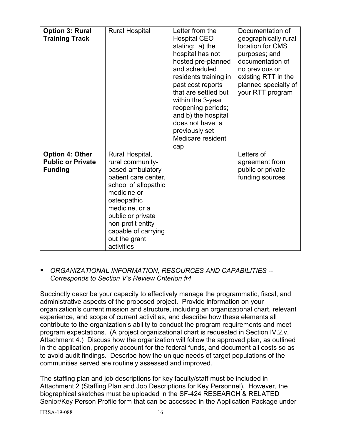| <b>Option 3: Rural</b><br><b>Training Track</b>                      | <b>Rural Hospital</b>                                                                                                                                                                                                                                   | Letter from the<br><b>Hospital CEO</b><br>stating: a) the<br>hospital has not<br>hosted pre-planned<br>and scheduled<br>residents training in<br>past cost reports<br>that are settled but<br>within the 3-year<br>reopening periods;<br>and b) the hospital<br>does not have a<br>previously set<br>Medicare resident<br>cap | Documentation of<br>geographically rural<br>location for CMS<br>purposes; and<br>documentation of<br>no previous or<br>existing RTT in the<br>planned specialty of<br>your RTT program |
|----------------------------------------------------------------------|---------------------------------------------------------------------------------------------------------------------------------------------------------------------------------------------------------------------------------------------------------|-------------------------------------------------------------------------------------------------------------------------------------------------------------------------------------------------------------------------------------------------------------------------------------------------------------------------------|----------------------------------------------------------------------------------------------------------------------------------------------------------------------------------------|
| <b>Option 4: Other</b><br><b>Public or Private</b><br><b>Funding</b> | Rural Hospital,<br>rural community-<br>based ambulatory<br>patient care center,<br>school of allopathic<br>medicine or<br>osteopathic<br>medicine, or a<br>public or private<br>non-profit entity<br>capable of carrying<br>out the grant<br>activities |                                                                                                                                                                                                                                                                                                                               | Letters of<br>agreement from<br>public or private<br>funding sources                                                                                                                   |

## *ORGANIZATIONAL INFORMATION, RESOURCES AND CAPABILITIES -- Corresponds to Section V's Review Criterion #4*

Succinctly describe your capacity to effectively manage the programmatic, fiscal, and administrative aspects of the proposed project. Provide information on your organization's current mission and structure, including an organizational chart, relevant experience, and scope of current activities, and describe how these elements all contribute to the organization's ability to conduct the program requirements and meet program expectations. (A project organizational chart is requested in Section IV.2.v, Attachment 4.) Discuss how the organization will follow the approved plan, as outlined in the application, properly account for the federal funds, and document all costs so as to avoid audit findings. Describe how the unique needs of target populations of the communities served are routinely assessed and improved.

The staffing plan and job descriptions for key faculty/staff must be included in Attachment 2 (Staffing Plan and Job Descriptions for Key Personnel). However, the biographical sketches must be uploaded in the SF-424 RESEARCH & RELATED Senior/Key Person Profile form that can be accessed in the Application Package under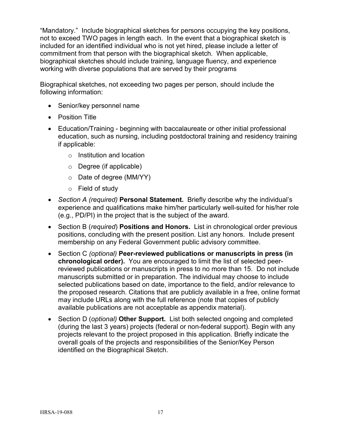"Mandatory." Include biographical sketches for persons occupying the key positions, not to exceed TWO pages in length each. In the event that a biographical sketch is included for an identified individual who is not yet hired, please include a letter of commitment from that person with the biographical sketch. When applicable, biographical sketches should include training, language fluency, and experience working with diverse populations that are served by their programs

Biographical sketches, not exceeding two pages per person, should include the following information:

- Senior/key personnel name
- Position Title
- Education/Training beginning with baccalaureate or other initial professional education, such as nursing, including postdoctoral training and residency training if applicable:
	- o Institution and location
	- o Degree (if applicable)
	- o Date of degree (MM/YY)
	- o Field of study
- *Section A (required)* **Personal Statement.** Briefly describe why the individual's experience and qualifications make him/her particularly well-suited for his/her role (e.g., PD/PI) in the project that is the subject of the award.
- Section B (*required*) **Positions and Honors.** List in chronological order previous positions, concluding with the present position. List any honors. Include present membership on any Federal Government public advisory committee.
- Section C *(optional)* **Peer-reviewed publications or manuscripts in press (in chronological order).** You are encouraged to limit the list of selected peerreviewed publications or manuscripts in press to no more than 15. Do not include manuscripts submitted or in preparation. The individual may choose to include selected publications based on date, importance to the field, and/or relevance to the proposed research. Citations that are publicly available in a free, online format may include URLs along with the full reference (note that copies of publicly available publications are not acceptable as appendix material).
- Section D (*optional)* **Other Support.** List both selected ongoing and completed (during the last 3 years) projects (federal or non-federal support). Begin with any projects relevant to the project proposed in this application. Briefly indicate the overall goals of the projects and responsibilities of the Senior/Key Person identified on the Biographical Sketch.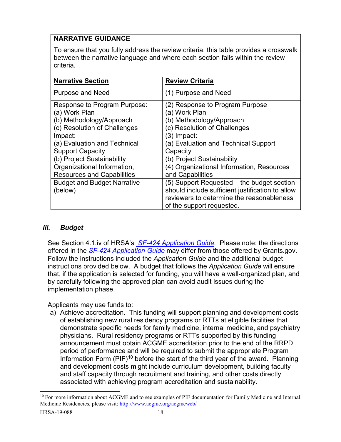## **NARRATIVE GUIDANCE**

To ensure that you fully address the review criteria, this table provides a crosswalk between the narrative language and where each section falls within the review criteria.

| <b>Narrative Section</b>           | <b>Review Criteria</b>                           |
|------------------------------------|--------------------------------------------------|
| <b>Purpose and Need</b>            | (1) Purpose and Need                             |
| Response to Program Purpose:       | (2) Response to Program Purpose                  |
| (a) Work Plan                      | (a) Work Plan                                    |
| (b) Methodology/Approach           | (b) Methodology/Approach                         |
| (c) Resolution of Challenges       | (c) Resolution of Challenges                     |
| Impact:                            | (3) Impact:                                      |
| (a) Evaluation and Technical       | (a) Evaluation and Technical Support             |
| <b>Support Capacity</b>            | Capacity                                         |
| (b) Project Sustainability         | (b) Project Sustainability                       |
| Organizational Information,        | (4) Organizational Information, Resources        |
| <b>Resources and Capabilities</b>  | and Capabilities                                 |
| <b>Budget and Budget Narrative</b> | (5) Support Requested – the budget section       |
| (below)                            | should include sufficient justification to allow |
|                                    | reviewers to determine the reasonableness        |
|                                    | of the support requested.                        |

## <span id="page-21-0"></span>*iii. Budget*

See Section 4.1.iv of HRSA's *SF-424 [Application Guide.](http://www.hrsa.gov/grants/apply/applicationguide/sf424guide.pdf)* Please note: the directions offered in the *SF-424 [Application Guide](http://www.hrsa.gov/grants/apply/applicationguide/sf424guide.pdf)* may differ from those offered by Grants.gov. Follow the instructions included the *Application Guide* and the additional budget instructions provided below. A budget that follows the *Application Guide* will ensure that, if the application is selected for funding, you will have a well-organized plan, and by carefully following the approved plan can avoid audit issues during the implementation phase.

Applicants may use funds to:

a) Achieve accreditation. This funding will support planning and development costs of establishing new rural residency programs or RTTs at eligible facilities that demonstrate specific needs for family medicine, internal medicine, and psychiatry physicians. Rural residency programs or RTTs supported by this funding announcement must obtain ACGME accreditation prior to the end of the RRPD period of performance and will be required to submit the appropriate Program Information Form  $(PIF)^{10}$  $(PIF)^{10}$  $(PIF)^{10}$  before the start of the third year of the award. Planning and development costs might include curriculum development, building faculty and staff capacity through recruitment and training, and other costs directly associated with achieving program accreditation and sustainability.

<span id="page-21-1"></span><sup>&</sup>lt;sup>10</sup> For more information about ACGME and to see examples of PIF documentation for Family Medicine and Internal Medicine Residencies, please visit:<http://www.acgme.org/acgmeweb/>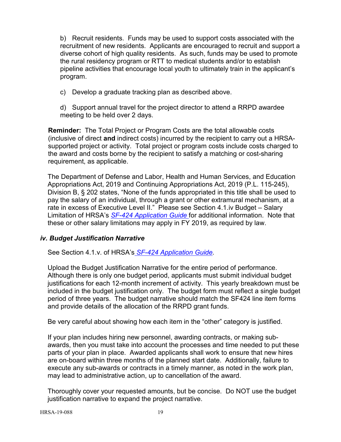b) Recruit residents. Funds may be used to support costs associated with the recruitment of new residents. Applicants are encouraged to recruit and support a diverse cohort of high quality residents. As such, funds may be used to promote the rural residency program or RTT to medical students and/or to establish pipeline activities that encourage local youth to ultimately train in the applicant's program.

c) Develop a graduate tracking plan as described above.

d) Support annual travel for the project director to attend a RRPD awardee meeting to be held over 2 days.

**Reminder:** The Total Project or Program Costs are the total allowable costs (inclusive of direct **and** indirect costs) incurred by the recipient to carry out a HRSAsupported project or activity. Total project or program costs include costs charged to the award and costs borne by the recipient to satisfy a matching or cost-sharing requirement, as applicable.

The Department of Defense and Labor, Health and Human Services, and Education Appropriations Act, 2019 and Continuing Appropriations Act, 2019 (P.L. 115-245), Division B, § 202 states, "None of the funds appropriated in this title shall be used to pay the salary of an individual, through a grant or other extramural mechanism, at a rate in excess of Executive Level II." Please see Section 4.1.iv Budget – Salary Limitation of HRSA's *SF-424 [Application Guide](http://www.hrsa.gov/grants/apply/applicationguide/sf424guide.pdf)* for additional information. Note that these or other salary limitations may apply in FY 2019, as required by law.

## <span id="page-22-0"></span>*iv. Budget Justification Narrative*

See Section 4.1.v. of HRSA's *SF-424 [Application Guide.](http://www.hrsa.gov/grants/apply/applicationguide/sf424guide.pdf)* 

Upload the Budget Justification Narrative for the entire period of performance. Although there is only one budget period, applicants must submit individual budget justifications for each 12-month increment of activity. This yearly breakdown must be included in the budget justification only. The budget form must reflect a single budget period of three years. The budget narrative should match the SF424 line item forms and provide details of the allocation of the RRPD grant funds.

Be very careful about showing how each item in the "other" category is justified.

If your plan includes hiring new personnel, awarding contracts, or making subawards, then you must take into account the processes and time needed to put these parts of your plan in place. Awarded applicants shall work to ensure that new hires are on-board within three months of the planned start date. Additionally, failure to execute any sub-awards or contracts in a timely manner, as noted in the work plan, may lead to administrative action, up to cancellation of the award.

Thoroughly cover your requested amounts, but be concise. Do NOT use the budget justification narrative to expand the project narrative.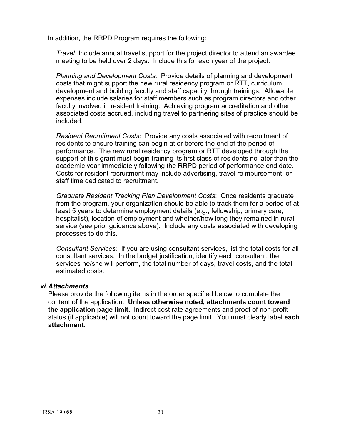In addition, the RRPD Program requires the following:

*Travel:* Include annual travel support for the project director to attend an awardee meeting to be held over 2 days. Include this for each year of the project.

*Planning and Development Costs*: Provide details of planning and development costs that might support the new rural residency program or RTT, curriculum development and building faculty and staff capacity through trainings. Allowable expenses include salaries for staff members such as program directors and other faculty involved in resident training. Achieving program accreditation and other associated costs accrued, including travel to partnering sites of practice should be included.

*Resident Recruitment Costs*: Provide any costs associated with recruitment of residents to ensure training can begin at or before the end of the period of performance. The new rural residency program or RTT developed through the support of this grant must begin training its first class of residents no later than the academic year immediately following the RRPD period of performance end date. Costs for resident recruitment may include advertising, travel reimbursement, or staff time dedicated to recruitment.

*Graduate Resident Tracking Plan Development Costs*: Once residents graduate from the program, your organization should be able to track them for a period of at least 5 years to determine employment details (e.g., fellowship, primary care, hospitalist), location of employment and whether/how long they remained in rural service (see prior guidance above). Include any costs associated with developing processes to do this.

*Consultant Services:* If you are using consultant services, list the total costs for all consultant services. In the budget justification, identify each consultant, the services he/she will perform, the total number of days, travel costs, and the total estimated costs.

#### <span id="page-23-0"></span>*vi.Attachments*

Please provide the following items in the order specified below to complete the content of the application. **Unless otherwise noted, attachments count toward the application page limit.** Indirect cost rate agreements and proof of non-profit status (if applicable) will not count toward the page limit. You must clearly label **each attachment**.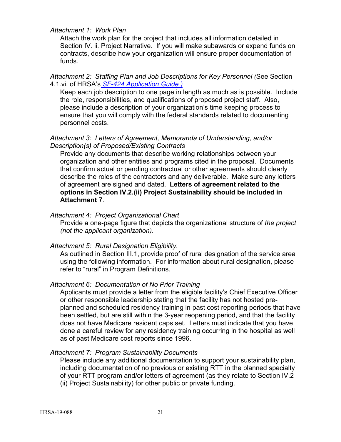#### *Attachment 1: Work Plan*

Attach the work plan for the project that includes all information detailed in Section IV. ii. Project Narrative. If you will make subawards or expend funds on contracts, describe how your organization will ensure proper documentation of funds.

#### *Attachment 2: Staffing Plan and Job Descriptions for Key Personnel (*See Section 4.1.vi. of HRSA's *SF-424 [Application Guide](http://www.hrsa.gov/grants/apply/applicationguide/sf424guide.pdf) )*

Keep each job description to one page in length as much as is possible. Include the role, responsibilities, and qualifications of proposed project staff. Also, please include a description of your organization's time keeping process to ensure that you will comply with the federal standards related to documenting personnel costs.

#### *Attachment 3: Letters of Agreement, Memoranda of Understanding, and/or Description(s) of Proposed/Existing Contracts*

Provide any documents that describe working relationships between your organization and other entities and programs cited in the proposal. Documents that confirm actual or pending contractual or other agreements should clearly describe the roles of the contractors and any deliverable. Make sure any letters of agreement are signed and dated. **Letters of agreement related to the options in Section IV.2.(ii) Project Sustainability should be included in Attachment 7**.

#### *Attachment 4: Project Organizational Chart*

Provide a one-page figure that depicts the organizational structure of *the project (not the applicant organization)*.

## *Attachment 5: Rural Designation Eligibility.*

As outlined in Section III.1, provide proof of rural designation of the service area using the following information. For information about rural designation, please refer to "rural" in Program Definitions.

#### *Attachment 6: Documentation of No Prior Training*

Applicants must provide a letter from the eligible facility's Chief Executive Officer or other responsible leadership stating that the facility has not hosted preplanned and scheduled residency training in past cost reporting periods that have been settled, but are still within the 3-year reopening period, and that the facility does not have Medicare resident caps set. Letters must indicate that you have done a careful review for any residency training occurring in the hospital as well as of past Medicare cost reports since 1996.

## *Attachment 7: Program Sustainability Documents*

Please include any additional documentation to support your sustainability plan, including documentation of no previous or existing RTT in the planned specialty of your RTT program and/or letters of agreement (as they relate to Section IV.2 (ii) Project Sustainability) for other public or private funding.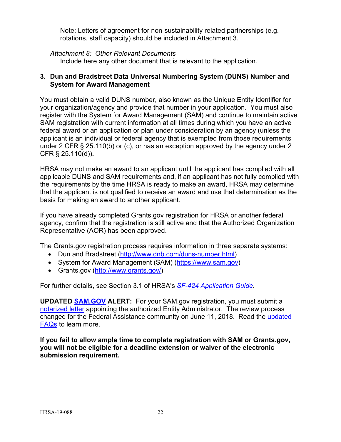Note: Letters of agreement for non-sustainability related partnerships (e.g. rotations, staff capacity) should be included in Attachment 3.

## *Attachment 8: Other Relevant Documents*

Include here any other document that is relevant to the application.

## <span id="page-25-0"></span>**3. Dun and Bradstreet Data Universal Numbering System (DUNS) Number and System for Award Management**

You must obtain a valid DUNS number, also known as the Unique Entity Identifier for your organization/agency and provide that number in your application. You must also register with the System for Award Management (SAM) and continue to maintain active SAM registration with current information at all times during which you have an active federal award or an application or plan under consideration by an agency (unless the applicant is an individual or federal agency that is exempted from those requirements under 2 CFR § 25.110(b) or (c), or has an exception approved by the agency under 2 CFR § 25.110(d))**.**

HRSA may not make an award to an applicant until the applicant has complied with all applicable DUNS and SAM requirements and, if an applicant has not fully complied with the requirements by the time HRSA is ready to make an award, HRSA may determine that the applicant is not qualified to receive an award and use that determination as the basis for making an award to another applicant.

If you have already completed Grants.gov registration for HRSA or another federal agency, confirm that the registration is still active and that the Authorized Organization Representative (AOR) has been approved.

The Grants.gov registration process requires information in three separate systems:

- Dun and Bradstreet [\(http://www.dnb.com/duns-number.html\)](http://www.dnb.com/duns-number.html)
- System for Award Management (SAM) [\(https://www.sam.gov\)](https://www.sam.gov/)
- Grants.gov [\(http://www.grants.gov/\)](http://www.grants.gov/)

For further details, see Section 3.1 of HRSA's *SF-424 [Application Guide.](http://www.hrsa.gov/grants/apply/applicationguide/sf424guide.pdf)*

**UPDATED [SAM.GOV](http://sam.gov/) ALERT:** For your SAM.gov registration, you must submit a [notarized letter](https://www.fsd.gov/fsd-gov/answer.do?sysparm_kbid=d2e67885db0d5f00b3257d321f96194b&sysparm_search=kb0013183) appointing the authorized Entity Administrator. The review process changed for the Federal Assistance community on June 11, 2018. Read the [updated](https://www.gsa.gov/about-us/organization/federal-acquisition-service/office-of-systems-management/integrated-award-environment-iae/sam-update)  [FAQs](https://www.gsa.gov/about-us/organization/federal-acquisition-service/office-of-systems-management/integrated-award-environment-iae/sam-update) to learn more.

**If you fail to allow ample time to complete registration with SAM or Grants.gov, you will not be eligible for a deadline extension or waiver of the electronic submission requirement.**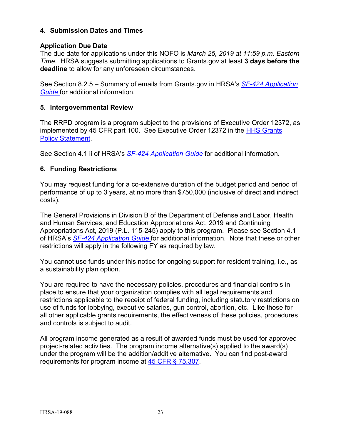## <span id="page-26-0"></span>**4. Submission Dates and Times**

## **Application Due Date**

The due date for applications under this NOFO is *March 25, 2019 at 11:59 p.m. Eastern Time*. HRSA suggests submitting applications to Grants.gov at least **3 days before the deadline** to allow for any unforeseen circumstances.

See Section 8.2.5 – Summary of emails from Grants.gov in HRSA's *SF-424 [Application](http://www.hrsa.gov/grants/apply/applicationguide/sf424guide.pdf)  [Guide](http://www.hrsa.gov/grants/apply/applicationguide/sf424guide.pdf)* for additional information.

## <span id="page-26-1"></span>**5. Intergovernmental Review**

The RRPD program is a program subject to the provisions of Executive Order 12372, as implemented by 45 CFR part 100. See Executive Order 12372 in the [HHS Grants](http://www.hrsa.gov/grants/hhsgrantspolicy.pdf)  [Policy Statement.](http://www.hrsa.gov/grants/hhsgrantspolicy.pdf)

See Section 4.1 ii of HRSA's *SF-424 [Application Guide](http://www.hrsa.gov/grants/apply/applicationguide/sf424guide.pdf)* for additional information.

## <span id="page-26-2"></span>**6. Funding Restrictions**

You may request funding for a co-extensive duration of the budget period and period of performance of up to 3 years, at no more than \$750,000 (inclusive of direct **and** indirect costs).

The General Provisions in Division B of the Department of Defense and Labor, Health and Human Services, and Education Appropriations Act, 2019 and Continuing Appropriations Act, 2019 (P.L. 115-245) apply to this program. Please see Section 4.1 of HRSA's *SF-424 [Application Guide](http://www.hrsa.gov/grants/apply/applicationguide/sf424guide.pdf)* for additional information. Note that these or other restrictions will apply in the following FY as required by law.

You cannot use funds under this notice for ongoing support for resident training, i.e., as a sustainability plan option.

You are required to have the necessary policies, procedures and financial controls in place to ensure that your organization complies with all legal requirements and restrictions applicable to the receipt of federal funding, including statutory restrictions on use of funds for lobbying, executive salaries, gun control, abortion, etc. Like those for all other applicable grants requirements, the effectiveness of these policies, procedures and controls is subject to audit.

All program income generated as a result of awarded funds must be used for approved project-related activities. The program income alternative(s) applied to the award(s) under the program will be the addition/additive alternative. You can find post-award requirements for program income at [45 CFR § 75.307.](http://www.ecfr.gov/cgi-bin/retrieveECFR?gp=1&SID=4d52364ec83fab994c665943dadf9cf7&ty=HTML&h=L&r=PART&n=pt45.1.75#se45.1.75_1307)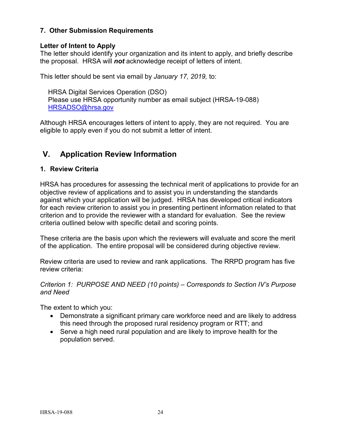## <span id="page-27-0"></span>**7. Other Submission Requirements**

## **Letter of Intent to Apply**

The letter should identify your organization and its intent to apply, and briefly describe the proposal. HRSA will *not* acknowledge receipt of letters of intent.

This letter should be sent via email by *January 17, 2019,* to:

HRSA Digital Services Operation (DSO) Please use HRSA opportunity number as email subject (HRSA-19-088) [HRSADSO@hrsa.gov](mailto:HRSADSO@hrsa.gov)

Although HRSA encourages letters of intent to apply, they are not required. You are eligible to apply even if you do not submit a letter of intent.

## <span id="page-27-1"></span>**V. Application Review Information**

## <span id="page-27-2"></span>**1. Review Criteria**

HRSA has procedures for assessing the technical merit of applications to provide for an objective review of applications and to assist you in understanding the standards against which your application will be judged. HRSA has developed critical indicators for each review criterion to assist you in presenting pertinent information related to that criterion and to provide the reviewer with a standard for evaluation. See the review criteria outlined below with specific detail and scoring points.

These criteria are the basis upon which the reviewers will evaluate and score the merit of the application. The entire proposal will be considered during objective review.

Review criteria are used to review and rank applications. The RRPD program has five review criteria:

## *Criterion 1: PURPOSE AND NEED (10 points) – Corresponds to Section IV's Purpose and Need*

The extent to which you:

- Demonstrate a significant primary care workforce need and are likely to address this need through the proposed rural residency program or RTT; and
- Serve a high need rural population and are likely to improve health for the population served.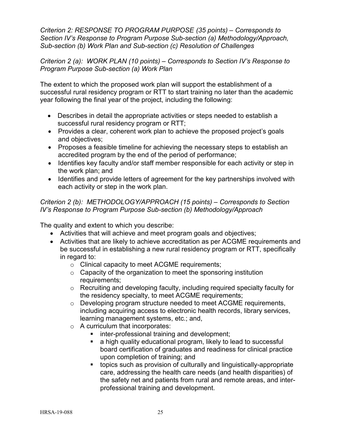*Criterion 2: RESPONSE TO PROGRAM PURPOSE (35 points) – Corresponds to Section IV's Response to Program Purpose Sub-section (a) Methodology/Approach, Sub-section (b) Work Plan and Sub-section (c) Resolution of Challenges*

*Criterion 2 (a): WORK PLAN (10 points) – Corresponds to Section IV's Response to Program Purpose Sub-section (a) Work Plan*

The extent to which the proposed work plan will support the establishment of a successful rural residency program or RTT to start training no later than the academic year following the final year of the project, including the following:

- Describes in detail the appropriate activities or steps needed to establish a successful rural residency program or RTT;
- Provides a clear, coherent work plan to achieve the proposed project's goals and objectives;
- Proposes a feasible timeline for achieving the necessary steps to establish an accredited program by the end of the period of performance;
- Identifies key faculty and/or staff member responsible for each activity or step in the work plan; and
- Identifies and provide letters of agreement for the key partnerships involved with each activity or step in the work plan.

*Criterion 2 (b): METHODOLOGY/APPROACH (15 points) – Corresponds to Section IV's Response to Program Purpose Sub-section (b) Methodology/Approach*

The quality and extent to which you describe:

- Activities that will achieve and meet program goals and objectives;
- Activities that are likely to achieve accreditation as per ACGME requirements and be successful in establishing a new rural residency program or RTT, specifically in regard to:
	- o Clinical capacity to meet ACGME requirements;
	- $\circ$  Capacity of the organization to meet the sponsoring institution requirements;
	- $\circ$  Recruiting and developing faculty, including required specialty faculty for the residency specialty, to meet ACGME requirements;
	- $\circ$  Developing program structure needed to meet ACGME requirements, including acquiring access to electronic health records, library services, learning management systems, etc.; and,
	- o A curriculum that incorporates:
		- inter-professional training and development;
		- **a** high quality educational program, likely to lead to successful board certification of graduates and readiness for clinical practice upon completion of training; and
		- topics such as provision of culturally and linguistically-appropriate care, addressing the health care needs (and health disparities) of the safety net and patients from rural and remote areas, and interprofessional training and development.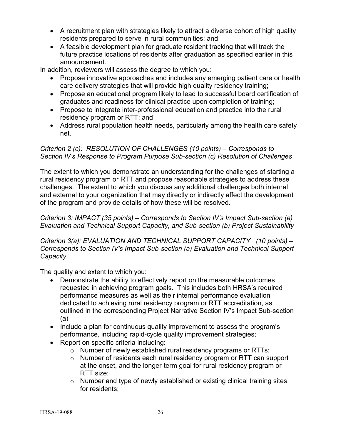- A recruitment plan with strategies likely to attract a diverse cohort of high quality residents prepared to serve in rural communities; and
- A feasible development plan for graduate resident tracking that will track the future practice locations of residents after graduation as specified earlier in this announcement.

In addition, reviewers will assess the degree to which you:

- Propose innovative approaches and includes any emerging patient care or health care delivery strategies that will provide high quality residency training;
- Propose an educational program likely to lead to successful board certification of graduates and readiness for clinical practice upon completion of training;
- Propose to integrate inter-professional education and practice into the rural residency program or RTT; and
- Address rural population health needs, particularly among the health care safety net.

## *Criterion 2 (c): RESOLUTION OF CHALLENGES (10 points) – Corresponds to Section IV's Response to Program Purpose Sub-section (c) Resolution of Challenges*

The extent to which you demonstrate an understanding for the challenges of starting a rural residency program or RTT and propose reasonable strategies to address these challenges. The extent to which you discuss any additional challenges both internal and external to your organization that may directly or indirectly affect the development of the program and provide details of how these will be resolved.

*Criterion 3: IMPACT (35 points) – Corresponds to Section IV's Impact Sub-section (a) Evaluation and Technical Support Capacity, and Sub-section (b) Project Sustainability*

*Criterion 3(a): EVALUATION AND TECHNICAL SUPPORT CAPACITY (10 points) – Corresponds to Section IV's Impact Sub-section (a) Evaluation and Technical Support Capacity* 

The quality and extent to which you:

- Demonstrate the ability to effectively report on the measurable outcomes requested in achieving program goals. This includes both HRSA's required performance measures as well as their internal performance evaluation dedicated to achieving rural residency program or RTT accreditation, as outlined in the corresponding Project Narrative Section IV's Impact Sub-section (a)
- Include a plan for continuous quality improvement to assess the program's performance, including rapid-cycle quality improvement strategies;
- Report on specific criteria including:
	- o Number of newly established rural residency programs or RTTs;
	- o Number of residents each rural residency program or RTT can support at the onset, and the longer-term goal for rural residency program or RTT size;
	- o Number and type of newly established or existing clinical training sites for residents;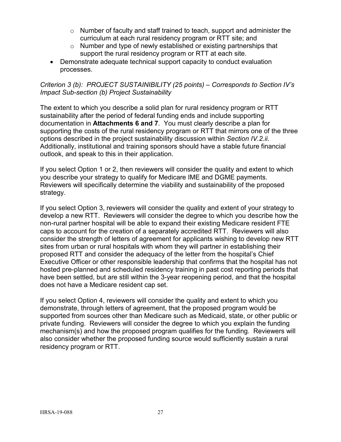- $\circ$  Number of faculty and staff trained to teach, support and administer the curriculum at each rural residency program or RTT site; and
- o Number and type of newly established or existing partnerships that support the rural residency program or RTT at each site.
- Demonstrate adequate technical support capacity to conduct evaluation processes.

## *Criterion 3 (b): PROJECT SUSTAINIBILITY (25 points) – Corresponds to Section IV's Impact Sub-section (b) Project Sustainability*

The extent to which you describe a solid plan for rural residency program or RTT sustainability after the period of federal funding ends and include supporting documentation in **Attachments 6 and 7**. You must clearly describe a plan for supporting the costs of the rural residency program or RTT that mirrors one of the three options described in the project sustainability discussion within *Section IV.2.ii*. Additionally, institutional and training sponsors should have a stable future financial outlook, and speak to this in their application.

If you select Option 1 or 2, then reviewers will consider the quality and extent to which you describe your strategy to qualify for Medicare IME and DGME payments. Reviewers will specifically determine the viability and sustainability of the proposed strategy.

If you select Option 3, reviewers will consider the quality and extent of your strategy to develop a new RTT. Reviewers will consider the degree to which you describe how the non-rural partner hospital will be able to expand their existing Medicare resident FTE caps to account for the creation of a separately accredited RTT. Reviewers will also consider the strength of letters of agreement for applicants wishing to develop new RTT sites from urban or rural hospitals with whom they will partner in establishing their proposed RTT and consider the adequacy of the letter from the hospital's Chief Executive Officer or other responsible leadership that confirms that the hospital has not hosted pre-planned and scheduled residency training in past cost reporting periods that have been settled, but are still within the 3-year reopening period, and that the hospital does not have a Medicare resident cap set.

If you select Option 4, reviewers will consider the quality and extent to which you demonstrate, through letters of agreement, that the proposed program would be supported from sources other than Medicare such as Medicaid, state, or other public or private funding. Reviewers will consider the degree to which you explain the funding mechanism(s) and how the proposed program qualifies for the funding. Reviewers will also consider whether the proposed funding source would sufficiently sustain a rural residency program or RTT.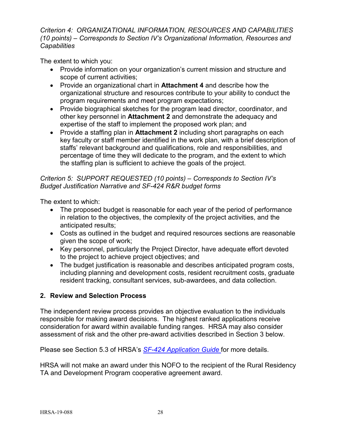## *Criterion 4: ORGANIZATIONAL INFORMATION, RESOURCES AND CAPABILITIES (10 points) – Corresponds to Section IV's Organizational Information, Resources and Capabilities*

The extent to which you:

- Provide information on your organization's current mission and structure and scope of current activities;
- Provide an organizational chart in **Attachment 4** and describe how the organizational structure and resources contribute to your ability to conduct the program requirements and meet program expectations;
- Provide biographical sketches for the program lead director, coordinator, and other key personnel in **Attachment 2** and demonstrate the adequacy and expertise of the staff to implement the proposed work plan; and
- Provide a staffing plan in **Attachment 2** including short paragraphs on each key faculty or staff member identified in the work plan, with a brief description of staffs' relevant background and qualifications, role and responsibilities, and percentage of time they will dedicate to the program, and the extent to which the staffing plan is sufficient to achieve the goals of the project.

## *Criterion 5: SUPPORT REQUESTED (10 points) – Corresponds to Section IV's Budget Justification Narrative and SF-424 R&R budget forms*

The extent to which:

- The proposed budget is reasonable for each year of the period of performance in relation to the objectives, the complexity of the project activities, and the anticipated results;
- Costs as outlined in the budget and required resources sections are reasonable given the scope of work;
- Key personnel, particularly the Project Director, have adequate effort devoted to the project to achieve project objectives; and
- The budget justification is reasonable and describes anticipated program costs, including planning and development costs, resident recruitment costs, graduate resident tracking, consultant services, sub-awardees, and data collection.

## <span id="page-31-0"></span>**2. Review and Selection Process**

The independent review process provides an objective evaluation to the individuals responsible for making award decisions. The highest ranked applications receive consideration for award within available funding ranges. HRSA may also consider assessment of risk and the other pre-award activities described in Section 3 below.

Please see Section 5.3 of HRSA's *SF-424 [Application Guide](http://www.hrsa.gov/grants/apply/applicationguide/sf424guide.pdf)* for more details.

HRSA will not make an award under this NOFO to the recipient of the Rural Residency TA and Development Program cooperative agreement award.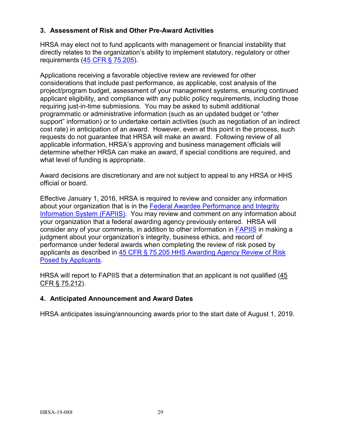## <span id="page-32-0"></span>**3. Assessment of Risk and Other Pre-Award Activities**

HRSA may elect not to fund applicants with management or financial instability that directly relates to the organization's ability to implement statutory, regulatory or other requirements [\(45 CFR § 75.205\)](http://www.ecfr.gov/cgi-bin/retrieveECFR?gp=1&SID=4d52364ec83fab994c665943dadf9cf7&ty=HTML&h=L&r=PART&n=pt45.1.75#se45.1.75_1205).

Applications receiving a favorable objective review are reviewed for other considerations that include past performance, as applicable, cost analysis of the project/program budget, assessment of your management systems, ensuring continued applicant eligibility, and compliance with any public policy requirements, including those requiring just-in-time submissions. You may be asked to submit additional programmatic or administrative information (such as an updated budget or "other support" information) or to undertake certain activities (such as negotiation of an indirect cost rate) in anticipation of an award. However, even at this point in the process, such requests do not guarantee that HRSA will make an award. Following review of all applicable information, HRSA's approving and business management officials will determine whether HRSA can make an award, if special conditions are required, and what level of funding is appropriate.

Award decisions are discretionary and are not subject to appeal to any HRSA or HHS official or board.

Effective January 1, 2016, HRSA is required to review and consider any information about your organization that is in the [Federal Awardee Performance and Integrity](https://www.fapiis.gov/)  [Information System \(FAPIIS\).](https://www.fapiis.gov/) You may review and comment on any information about your organization that a federal awarding agency previously entered. HRSA will consider any of your comments, in addition to other information in [FAPIIS](https://www.fapiis.gov/) in making a judgment about your organization's integrity, business ethics, and record of performance under federal awards when completing the review of risk posed by applicants as described in [45 CFR § 75.205 HHS Awarding Agency Review of Risk](http://www.ecfr.gov/cgi-bin/text-idx?node=pt45.1.75)  [Posed by Applicants.](http://www.ecfr.gov/cgi-bin/text-idx?node=pt45.1.75)

HRSA will report to FAPIIS that a determination that an applicant is not qualified (45 [CFR § 75.212\)](http://www.ecfr.gov/cgi-bin/text-idx?node=pt45.1.75).

## <span id="page-32-1"></span>**4. Anticipated Announcement and Award Dates**

HRSA anticipates issuing/announcing awards prior to the start date of August 1, 2019.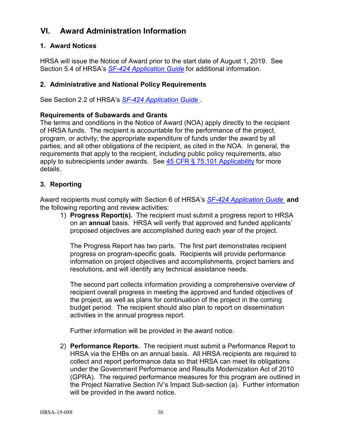## <span id="page-33-0"></span>**VI. Award Administration Information**

## <span id="page-33-1"></span>**1. Award Notices**

HRSA will issue the Notice of Award prior to the start date of August 1, 2019. See Section 5.4 of HRSA's *SF-424 [Application Guide](http://www.hrsa.gov/grants/apply/applicationguide/sf424guide.pdf)* for additional information.

## <span id="page-33-2"></span>**2. Administrative and National Policy Requirements**

See Section 2.2 of HRSA's *SF-424 [Application Guide](http://www.hrsa.gov/grants/apply/applicationguide/sf424guide.pdf)* .

#### **Requirements of Subawards and Grants**

The terms and conditions in the Notice of Award (NOA) apply directly to the recipient of HRSA funds. The recipient is accountable for the performance of the project, program, or activity; the appropriate expenditure of funds under the award by all parties; and all other obligations of the recipient, as cited in the NOA. In general, the requirements that apply to the recipient, including public policy requirements, also apply to subrecipients under awards. See  $45$  CFR  $\S$  75.101 Applicability for more details.

#### <span id="page-33-3"></span>**3. Reporting**

Award recipients must comply with Section 6 of HRSA's *SF-424 [Application Guide](http://www.hrsa.gov/grants/apply/applicationguide/sf424guide.pdf)* **and** the following reporting and review activities:

1) **Progress Report(s).** The recipient must submit a progress report to HRSA on an **annual** basis. HRSA will verify that approved and funded applicants' proposed objectives are accomplished during each year of the project.

The Progress Report has two parts. The first part demonstrates recipient progress on program-specific goals. Recipients will provide performance information on project objectives and accomplishments, project barriers and resolutions, and will identify any technical assistance needs.

The second part collects information providing a comprehensive overview of recipient overall progress in meeting the approved and funded objectives of the project, as well as plans for continuation of the project in the coming budget period. The recipient should also plan to report on dissemination activities in the annual progress report.

Further information will be provided in the award notice.

2) **Performance Reports.** The recipient must submit a Performance Report to HRSA via the EHBs on an annual basis. All HRSA recipients are required to collect and report performance data so that HRSA can meet its obligations under the Government Performance and Results Modernization Act of 2010 (GPRA). The required performance measures for this program are outlined in the Project Narrative Section IV's Impact Sub-section (a). Further information will be provided in the award notice.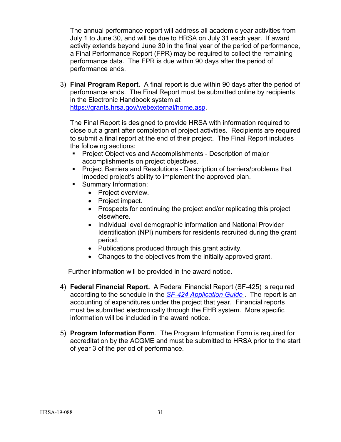The annual performance report will address all academic year activities from July 1 to June 30, and will be due to HRSA on July 31 each year. If award activity extends beyond June 30 in the final year of the period of performance, a Final Performance Report (FPR) may be required to collect the remaining performance data. The FPR is due within 90 days after the period of performance ends.

3) **Final Program Report.** A final report is due within 90 days after the period of performance ends. The Final Report must be submitted online by recipients in the Electronic Handbook system at [https://grants.hrsa.gov/webexternal/home.asp.](https://grants.hrsa.gov/webexternal/home.asp)

The Final Report is designed to provide HRSA with information required to close out a grant after completion of project activities. Recipients are required to submit a final report at the end of their project. The Final Report includes the following sections:

- Project Objectives and Accomplishments Description of major accomplishments on project objectives.
- **Project Barriers and Resolutions Description of barriers/problems that** impeded project's ability to implement the approved plan.
- Summary Information:
	- Project overview.
	- Project impact.
	- Prospects for continuing the project and/or replicating this project elsewhere.
	- Individual level demographic information and National Provider Identification (NPI) numbers for residents recruited during the grant period.
	- Publications produced through this grant activity.
	- Changes to the objectives from the initially approved grant.

Further information will be provided in the award notice.

- 4) **Federal Financial Report.** A Federal Financial Report (SF-425) is required according to the schedule in the *SF-424 [Application Guide](http://www.hrsa.gov/grants/apply/applicationguide/sf424guide.pdf)* . The report is an accounting of expenditures under the project that year. Financial reports must be submitted electronically through the EHB system. More specific information will be included in the award notice.
- 5) **Program Information Form**.The Program Information Form is required for accreditation by the ACGME and must be submitted to HRSA prior to the start of year 3 of the period of performance.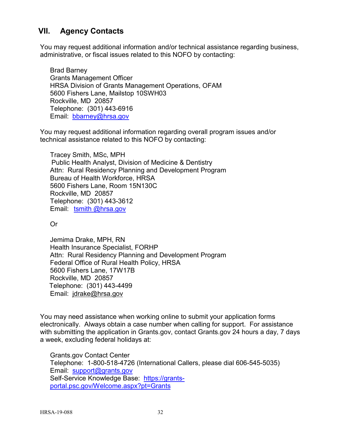## <span id="page-35-0"></span>**VII. Agency Contacts**

You may request additional information and/or technical assistance regarding business, administrative, or fiscal issues related to this NOFO by contacting:

Brad Barney Grants Management Officer HRSA Division of Grants Management Operations, OFAM 5600 Fishers Lane, Mailstop 10SWH03 Rockville, MD 20857 Telephone: (301) 443-6916 Email: [bbarney@hrsa.gov](mailto:bbarney@hrsa.gov)

You may request additional information regarding overall program issues and/or technical assistance related to this NOFO by contacting:

Tracey Smith, MSc, MPH Public Health Analyst, Division of Medicine & Dentistry Attn: Rural Residency Planning and Development Program Bureau of Health Workforce, HRSA 5600 Fishers Lane, Room 15N130C Rockville, MD 20857 Telephone: (301) 443-3612 Email: [tsmith @hrsa.gov](mailto:XXXX@hrsa.gov)

Or

Jemima Drake, MPH, RN Health Insurance Specialist, FORHP Attn: Rural Residency Planning and Development Program Federal Office of Rural Health Policy, HRSA 5600 Fishers Lane, 17W17B Rockville, MD 20857 Telephone: (301) 443-4499 Email: [jdrake@hrsa.gov](mailto:jdrake@hrsa.gov)

You may need assistance when working online to submit your application forms electronically. Always obtain a case number when calling for support. For assistance with submitting the application in Grants.gov, contact Grants.gov 24 hours a day, 7 days a week, excluding federal holidays at:

Grants.gov Contact Center Telephone: 1-800-518-4726 (International Callers, please dial 606-545-5035) Email: [support@grants.gov](mailto:support@grants.gov) Self-Service Knowledge Base: [https://grants](https://grants-portal.psc.gov/Welcome.aspx?pt=Grants)[portal.psc.gov/Welcome.aspx?pt=Grants](https://grants-portal.psc.gov/Welcome.aspx?pt=Grants)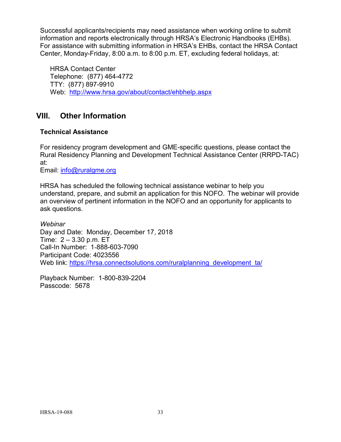Successful applicants/recipients may need assistance when working online to submit information and reports electronically through HRSA's Electronic Handbooks (EHBs). For assistance with submitting information in HRSA's EHBs, contact the HRSA Contact Center, Monday-Friday, 8:00 a.m. to 8:00 p.m. ET, excluding federal holidays, at:

HRSA Contact Center Telephone: (877) 464-4772 TTY: (877) 897-9910 Web: <http://www.hrsa.gov/about/contact/ehbhelp.aspx>

## <span id="page-36-0"></span>**VIII. Other Information**

## **Technical Assistance**

For residency program development and GME-specific questions, please contact the Rural Residency Planning and Development Technical Assistance Center (RRPD-TAC) at:

Email: [info@ruralgme.org](mailto:info@ruralgme.org)

HRSA has scheduled the following technical assistance webinar to help you understand, prepare, and submit an application for this NOFO. The webinar will provide an overview of pertinent information in the NOFO and an opportunity for applicants to ask questions.

*Webinar* Day and Date: Monday, December 17, 2018 Time: 2 – 3.30 p.m. ET Call-In Number: 1-888-603-7090 Participant Code: 4023556 Web link: [https://hrsa.connectsolutions.com/ruralplanning\\_development\\_ta/](https://hrsa.connectsolutions.com/ruralplanning_development_ta/)

Playback Number: 1-800-839-2204 Passcode: 5678